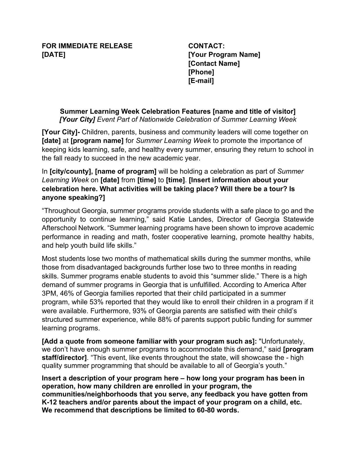## **FOR IMMEDIATE RELEASE [DATE]**

**CONTACT: [Your Program Name] [Contact Name] [Phone] [E-mail]**

## **Summer Learning Week Celebration Features [name and title of visitor]** *[Your City] Event Part of Nationwide Celebration of Summer Learning Week*

**[Your City]-** Children, parents, business and community leaders will come together on **[date]** at **[program name]** for *Summer Learning Week* to promote the importance of keeping kids learning, safe, and healthy every summer, ensuring they return to school in the fall ready to succeed in the new academic year.

## In **[city/county], [name of program]** will be holding a celebration as part of *Summer Learning Week* on **[date]** from **[time]** to **[time]**. **[Insert information about your celebration here. What activities will be taking place? Will there be a tour? Is anyone speaking?]**

"Throughout Georgia, summer programs provide students with a safe place to go and the opportunity to continue learning," said Katie Landes, Director of Georgia Statewide Afterschool Network. "Summer learning programs have been shown to improve academic performance in reading and math, foster cooperative learning, promote healthy habits, and help youth build life skills."

Most students lose two months of mathematical skills during the summer months, while those from disadvantaged backgrounds further lose two to three months in reading skills. Summer programs enable students to avoid this "summer slide." There is a high demand of summer programs in Georgia that is unfulfilled. According to America After 3PM, 46% of Georgia families reported that their child participated in a summer program, while 53% reported that they would like to enroll their children in a program if it were available. Furthermore, 93% of Georgia parents are satisfied with their child's structured summer experience, while 88% of parents support public funding for summer learning programs.

**[Add a quote from someone familiar with your program such as]:** "Unfortunately, we don't have enough summer programs to accommodate this demand," said **[program staff/director]**. "This event, like events throughout the state, will showcase the - high quality summer programming that should be available to all of Georgia's youth."

**Insert a description of your program here – how long your program has been in operation, how many children are enrolled in your program, the communities/neighborhoods that you serve, any feedback you have gotten from K-12 teachers and/or parents about the impact of your program on a child, etc. We recommend that descriptions be limited to 60-80 words.**